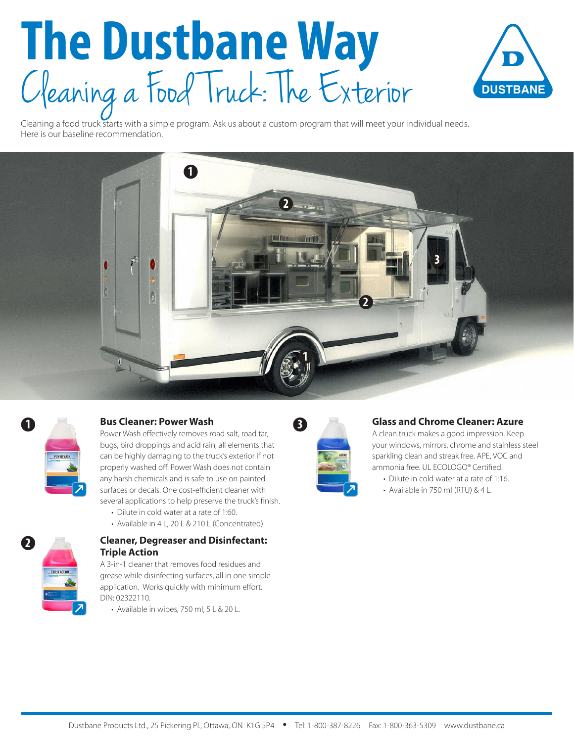# **The Dustbane Way** C leaning a Food Truck: The Exterior



Cleaning a food truck starts with a simple program. Ask us about a custom program that will meet your individual needs. Here is our baseline recommendation.





### **1 Bus Cleaner: Power Wash**

Power Wash effectively removes road salt, road tar, bugs, bird droppings and acid rain, all elements that can be highly damaging to the truck's exterior if not properly washed off. Power Wash does not contain any harsh chemicals and is safe to use on painted surfaces or decals. One cost-efficient cleaner with several applications to help preserve the truck's finish.

- Dilute in cold water at a rate of 1:60.
- Available in 4 L, 20 L & 210 L (Concentrated).



#### **Cleaner, Degreaser and Disinfectant: Triple Action**

A 3-in-1 cleaner that removes food residues and grease while disinfecting surfaces, all in one simple application. Works quickly with minimum effort. DIN: 02322110.

• Available in wipes, 750 ml, 5 L & 20 L.



#### **Glass and Chrome Cleaner: Azure**

A clean truck makes a good impression. Keep your windows, mirrors, chrome and stainless steel sparkling clean and streak free. APE, VOC and ammonia free. UL ECOLOGO® Certified.

- Dilute in cold water at a rate of 1:16.
- Available in 750 ml (RTU) & 4 L.